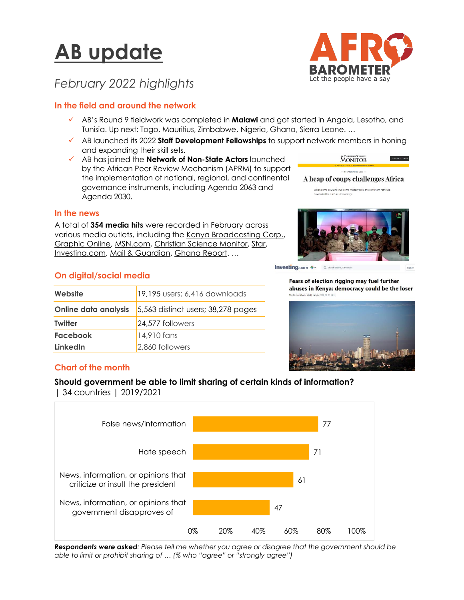# **AB update**



# *February 2022 highlights*

## **In the field and around the network**

- ✓ AB's Round 9 fieldwork was completed in **Malawi** and got started in Angola, Lesotho, and Tunisia. Up next: Togo, Mauritius, Zimbabwe, Nigeria, Ghana, Sierra Leone. …
- ✓ AB launched its 2022 **Staff Development Fellowships** to support network members in honing and expanding their skill sets.
- ✓ AB has joined the **Network of Non-State Actors** launched by the African Peer Review Mechanism (APRM) to support the implementation of national, regional, and continental governance instruments, including Agenda 2063 and Agenda 2030.

MONITOR.  $-$ THE LEONITOPIC

A heap of coups challenges Africa en some countries welcome military rule, the continent rethinks how to better nurture democrac

#### **In the news**

A total of **354 media hits** were recorded in February across various media outlets, including the [Kenya Broadcasting Corp.,](https://www.kbc.co.ke/majority-in-africa-believe-chinese-engagements-are-beneficial-to-their-economies-study/) [Graphic Online,](https://www.graphic.com.gh/features/opinion/ghana-a-nation-of-tax-thieves.html?template=graphictv&is_preview=on) [MSN.com,](https://www.msn.com/en-us/news/world/spate-of-coups-don-t-mean-end-of-democracy-in-africa/ar-AATA27f) [Christian Science Monitor,](https://www.csmonitor.com/Commentary/the-monitors-view/2022/0208/A-heap-of-coups-challenges-Africa) [Star,](https://www.the-star.co.ke/opinion/star-blogs/2022-02-10-alex-rienye-access-to-justice-a-cardinal-yardstick-of-judicial-reforms/) [Investing.com,](https://za.investing.com/news/fears-of-election-rigging-may-fuel-further-abuses-in-kenya-democracy-could-be-the-loser-2509829) [Mail & Guardian,](file:///C:/Users/BrianHoward/Documents/Afrobarometer/Communications/AB%20Update/2022/Feb22/Can%20harsh%20fiscal%20trade-offs%20still%20improve%20agency%20and%20social%20cohesion%20for%20South%20Africans%3f) [Ghana Report](https://www.theghanareport.com/govt-rights-or-media-rights-insights-from-afrobarometer/). …

# **On digital/social media**

| Website                     | 19,195 users; 6,416 downloads        |
|-----------------------------|--------------------------------------|
| <b>Online data analysis</b> | $5,563$ distinct users; 38,278 pages |
| <b>Twitter</b>              | 24,577 followers                     |
| <b>Facebook</b>             | 14,910 fans                          |
| <b>LinkedIn</b>             | 2,860 followers                      |



Investing com e - $Q$  Se

> Fears of election rigging may fuel further abuses in Kenya: democracy could be the loser



# **Chart of the month**

#### **Should government be able to limit sharing of certain kinds of information?**

| 34 countries | 2019/2021



*Respondents were asked: Please tell me whether you agree or disagree that the government should be able to limit or prohibit sharing of … (% who "agree" or "strongly agree")*